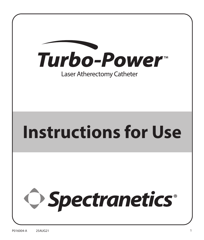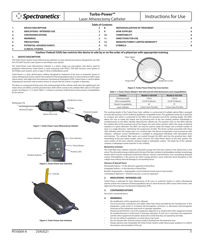| $\bigcirc$ Spectranetics $^{\circ}$ |  |
|-------------------------------------|--|
|-------------------------------------|--|

## **Turbo-Power™ Laser Atherectomy Catheter Instructions for Use**

|    |                                   | <b>Table of Contents</b> |                                       |  |
|----|-----------------------------------|--------------------------|---------------------------------------|--|
|    | <b>DEVICE DESCRIPTION</b>         | 8.                       | <b>INDIVIDUALIZATION OF TREATMENT</b> |  |
| 2. | <b>INDICATIONS / INTENDED USE</b> | 9.                       | <b>HOW SUPPLIED</b>                   |  |
|    | <b>CONTRAINDICATIONS</b>          | 10.                      | COMPATIBILITY                         |  |
| 4. |                                   | 11.                      | <b>DIRECTIONS FOR USE</b>             |  |
|    | <b>PRECAUTIONS</b>                | 12.                      |                                       |  |
| 6. | <b>POTENTIAL ADVERSE EVENTS</b>   | 13.                      | <b>SYMBOLS</b>                        |  |
|    | <b>CLINICAL STUDIES</b>           |                          |                                       |  |

**Caution: Federal (USA) law restricts this device to sale by or on the order of a physician with appropriate training.**

#### **1. DEVICE DESCRIPTION**

The Turbo-Power System (Laser Atherectomy Catheter) is a laser atherectomy device designed for use with the CVX-300® Excimer Laser System or the Philips Laser System.

The Turbo-Power Laser Atherectomy Catheter is a sterile, single use, prescription only device used for peripheral atherectomy. Turbo-Power is used exclusively with SPNC's CVX-300® Excimer Laser System or the Philips Laser System. and is a Type CF device Defibrillation proof.

Turbo-Power is a laser atherectomy catheter designed for treatment of de novo or restenotic lesions in native infrainguinal arteries and for the treatment of femoropopliteal artery in-stent restenosis (ISR) in bare nitinol stents, with adjunctive Percutaneous Transluminal Angioplasty (PTA). Turbo-Power is used to ablate infrainguinal concentric and eccentric lesions in vessels that are 3.0mm or greater in diameter.

The device is comprised of three parts: the working length of the catheter shaft (also the applied part), the motor drive unit (MDU), and the proximal laser shaft which connects the catheter fiber optics to the laser system. See Figures 1, 2, 3, and 4. Table 1.1 contains a summary of dimensions and accessory compatibilities for the device.



**Figure 1. Turbo-Power Laser Atherectomy Catheter**



**Figure 2. Turbo-Power User Interface**



**Figure 3. Turbo-Power User Interface**



**Figure 4. Turbo-Power Distal Tip Cross Section**

**Table 1.1: Turbo-Power (Model # 420-050 and 423-050) dimensions and compatibilities**

| <b>Feature</b>            | Model #: 420-050    | Model #: 423-050    |
|---------------------------|---------------------|---------------------|
| Working length            | 150cm               | 125cm               |
| <b>Wire Compatibility</b> | 0.018''(0.46mm)     | $0.018''(0.46$ mm   |
| Sheath Compatibility      | 6F                  | 7F                  |
| Laser Catheter            | 2.0mm Over The Wire | 2.3mm Over The Wire |

The working length of the Turbo-Power laser catheter is constructed of multiple optical fibers arranged eccentrically around a 0.018" (0.46mm) guidewire-compatible lumen. The guidewire lumen tip is attached to a torque wire which is connected to the MDU at the proximal end of the working length. The MDU allows the user to rotate the torque wire by pressing each of the two rotation buttons individually or simultaneously on the MDU, thereby directing the catheter tip. The position LEDs on the MDU indicate the rotation bias of the proximal end of the torque wire and motor position within the range of allowed rotations in a given direction. The MDU can only be used to rotate the torque wire a limited number of turns in a single direction, indicted by the progression of LEDs. The Home symbol associated with these LEDs indicates when the torque wire is in a neutral state. The device incorporates a micro-processor with software. Software version identification is available to designated individuals with specialized tools and training. The catheter fiber optics are routed through the MDU and into the proximal laser shaft, terminating at the pin-coded coupler, which connects the Turbo-Power device to the laser system. The outer surface of the laser catheter working length is hydrophilic-coated. The distal tip of the catheter contains a radiopaque marker band for in situ visibility.

#### **Mechanism of Action**

The multi-fiber laser catheter transmits ultraviolet energy from the laser system to the obstruction in the artery. The ultraviolet energy is delivered to the tip of the laser catheter to photoablate multiple morphology lesions which may be comprised of atheroma, fibrosis, calcium, and thrombus, thus recanalizing diseased vessels. Photoablation is the process by which energy photons cause molecular bond disruption at the cellular level without thermal damage to surrounding tissue.

#### **Glossary of Special Terms**

Retrograde Fashion = In the direction opposite to blood flow. Antegrade Fashion = In the direction of blood flow. Baseline Angiography = Angiographic record of blood vessels prior to intervention. Contralateral Approach = Arterial access by a crossover approach.

#### **2. INDICATIONS / INTENDED USE**

Turbo-Power is indicated for laser atherectomy of de novo or restenotic lesions in native infrainguinal arteries and for the treatment of femoropopliteal artery in-stent restenosis (ISR) in bare nitinol stents, with adjunctive Percutaneous Transluminal Angioplasty (PTA).

#### **3. CONTRAINDICATIONS**

No known contraindications.

#### **4. WARNINGS**

- No modification of this equipment is allowed.
- Use of accessories, transducers and cables other than those provided by the manufacturer of this equipment could result in increased electromagnetic emissions or decreased electromagnetic immunity of this equipment and result in improper operation.
- Reciprocal interference: use of this equipment adjacent to or stacked with other equipment should be avoided because it could result in improper operation. If such use is necessary, this equipment and the other equipment should be observed to verify that they are operating normally.
- Do not use without a guidewire, as vessel injury may result.
- Do not activate laser until all contrast media is flushed from the treatment area.
- Always advance and manipulate the Turbo-Power System under fluoroscopic guidance to confirm the location and orientation of the tip.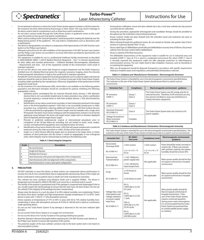

# **Turbo-Power™ Laser Atherectomy Catheter Instructions for Use**

- Do not attempt to advance or retract the Turbo-Power System against resistance until the reason for the resistance has been determined by fluoroscopy or other means. This may result in damage to the device and/or lead to complications such as dissections and/or perforations.
- Do not inject contrast media through the Turbo-Power System or guidewire lumen as this could cause the system to lock-up and may lead to complications.
- When used according to the "General Operation", avoid lasing and/or rotating the distal tip over the floppy/spring portion of the guidewire. This may lead to complications such as dissections and/ or perforations.
- This device is designated for use solely as a component of the Spectranetics CVX-300® Excimer Laser System or the Philips Laser System.
- Adequate instructions for the safe installation of the Spectranetics CVX-300® Excimer Laser System and the Philips Laser System are provided in servicing information provided by Spectranetics and should be followed
- This equipment is suitable for use in a professional healthcare facility environment as described in ANSI/AAMI/IEC 60601-1-2:2014 Medical Electrical Equipment – Part 1-2: General requirements for basic safety and essential performance – Collateral Standard: Electromagnetic disturbances – Requirements and tests. Use of this equipment outside of this environment could result in improper operation.
- Do not use this device near active high frequency surgical equipment and the Radio Frequency shielded room of a Medical Electrical system for magnetic resonance imaging, where the intensity of electromagnetic disturbances is high as this could result in improper operation.
- Portable RF communications equipment (including peripherals such as antenna cables and external antennas) should be used no closer than 30 cm (12 inches) to any part of the Turbo-Power System, including cables specified by the manufacturer. Otherwise, degradation of the performance of this equipment could result.
- For the treatment of In-stent Restenosis (ISR), clinical data is not available on the following patient population and alternative therapies should be considered for patients exhibiting the following angiographic criteria:
	- 1. Ipsilateral and/or contralateral iliac (or common femoral) artery stenosis ≥ 50% diameter stenosis that is not successfully treated prior to index procedure (e.g. where a perforation occurred requiring a covered stent) or with final residual stenosis ≥ 30% documented by angiography.
	- 2. Identification of any native vessel lesion (excludes in-stent restenosis) proximal to the target stent in the femoropopliteal segment >50% that is not successfully treated prior to index procedure (e.g. complication requiring additional treatment) or with final residual stenosis ≥ 30% documented by angiography. The lesion length must be treatable with a single stent (if required). The lesion must not be contiguous with the target lesion; at least 2 cm of normal appearing vessel between the lesion and target lesion/ target stent or between deployed stent (if required) and the target lesion/ target.
	- 3. Planned or predicted cardiovascular surgical or interventional procedures prior to completion of the 30-day follow-up (including, but not limited to aortic, renal, cardiac, carotid, contralateral femoropopliteal, and contralateral below the knee).
	- Identification of any lesion distal to the stent >50% that will require preplanned or predicted treatment during the index procedure or within 30 days of the index procedure.
	- 5. Grade 4 or 5 stent fracture affecting target stent or proximal to the target stent, or where evidence of stent protrusion into the lumen is noted on angiography in two orthogonal views. Stent integrity may be characterized according to the following scale:

**Table 4.1: Stent Integrity Categories**

| Grade          | <b>Description</b>                                           |
|----------------|--------------------------------------------------------------|
|                | No strut fracture                                            |
|                | Single tine fracture                                         |
|                | Multiple tine fracture                                       |
| $\mathbf{III}$ | Stent fracture(s) with preserved alignment of the components |
| IV             | Stent fracture(s) with mal-alignment of the components       |
|                | Stent fracture(s) in a trans-axial spiral configuration      |

#### **5. PRECAUTION**

DO NOT resterilize or reuse this device, as these actions can compromise device performance or increase the risk of cross-contamination due to inappropriate reprocessing. Reuse of this single use device could lead to serious patient injury or death and voids manufacturer warranties.

- This catheter has been sterilized using Ethylene Oxide and is supplied STERILE. The device is designated and intended for SINGLE USE ONLY and cannot be re-sterilized and/or reused.
- The sterility of the product is guaranteed only if the package is unopened and undamaged. Prior to use, visually inspect the sterile package to ensure that the seals have not been broken. Do not use the catheter if the integrity of the package has been compromised.
- Always store the devices in a cool, dry place (5 to 95% relative humidity, non-condensing). Protect the device from direct sunlight and high temperatures (storage temperatures 0°C to 60°C). Store device in areas with 11 kPa to 111 kPa atmospheric pressure.
- Device operates at temperatures of 10°C to 40°C in areas with 30 to 75% relative humidity (noncondensing) in areas with atmospheric pressure of 70 kPa to 106 kPa and is rated as a continuous mode operating device.
- Do not use the Turbo-Power System if any damage is observed or the red error indicator light activates.
- Do not use the Turbo-Power System in an oxygen rich environment.
- Do not use the device if its "Use By" located on the package labeling has passed.
- Read the Operator's Manual thoroughly before operating the CVX-300® Excimer Laser System or the Philips Laser System to ensure safe operation of the system.
- The proximal coupler of the laser catheter connects only to the laser system and is not meant to have any patient contact.
- During device calibration, ensure the laser catheter tip is dry. A wet laser catheter tip may prevent successful device calibration.
- During the procedure, appropriate anticoagulant and vasodilator therapy should be provided to the patient per the institution's interventional protocols.
- Ensure contrast media has been flushed from the intended vessel and treatment site prior to activating the laser system.
- When infusing through the guidewire lumen, do not exceed an infusion rate greater than 0.5mL/ second, or a pressure greater than 131 psi.
- Device rated Type CF defibrillation proof with post defibrillation recovery time of 500 ms. Disconnect catheter from the laser system before defibrillation.
- Device is rated for IPX2 fluid interaction.
- The EMISSIONS characteristics of this equipment make it suitable for use in industrial areas and hospitals (CISPR 11 class A). If it is used in a residential environment (for which CISPR 11 class B is normally required) this equipment might not offer adequate protection to radio-frequency communication services. The user might need to take mitigation measures, such as relocating or re-orienting the equipment.
- After use, all equipment should be disposed of properly in accordance with specific requirements relating to hospital waste, local regulations, and potentially biohazardous materials.

#### **Table 5.1: Guidance and Manufacturer's Declaration - Electromagnetic Emissions**

The Turbo-Power System is intended for use in the electromagnetic environment specified below. The customer or the user of the Turbo-Power System should assure that it is used in such an environment.

| <b>Emissions Test</b>                                       | Compliance         | Electromagnetic environment - quidance                                                                                                                                                               |
|-------------------------------------------------------------|--------------------|------------------------------------------------------------------------------------------------------------------------------------------------------------------------------------------------------|
| <b>RF</b> emissions<br>CISPR <sub>11</sub>                  | Group 1<br>Class A | The Turbo-Power System uses RF energy only for its<br>internal function. Therefore, its RF emissions are very<br>low and are not likely to cause any interference in<br>nearby electronic equipment. |
| <b>RF</b> emissions<br>CISPR <sub>11</sub>                  | Group 1<br>Class A |                                                                                                                                                                                                      |
| <b>Harmonic Emissions</b><br>IEC 61000-3-2                  | Class A            | The Turbo-Power System does not connect to AC<br>power supplies.                                                                                                                                     |
| Voltage Fluctuations/<br>flicker emissions<br>IEC 61000-3-3 | Complies           |                                                                                                                                                                                                      |

#### **Table 5.2: Guidance and Manufacturer's Declaration- Electromagnetic Immunity**

| The Turbo-Power System is intended for use in the electromagnetic environment specified below. The<br>customer or the user of the Turbo-Power System should assure that it is used in such an environment. |                                                                    |                                         |                                                                                                                                           |
|------------------------------------------------------------------------------------------------------------------------------------------------------------------------------------------------------------|--------------------------------------------------------------------|-----------------------------------------|-------------------------------------------------------------------------------------------------------------------------------------------|
| <b>Immunity Test</b>                                                                                                                                                                                       | <b>IEC 60601</b><br><b>Test Level</b>                              | <b>Compliance Level</b>                 | <b>Electromagnetic environment-</b><br>quidance                                                                                           |
| Electrostatic<br>Discharge (ESD)                                                                                                                                                                           | $± 8$ kV contact                                                   | $± 8$ kV contact                        | Floors should be wood, concrete or<br>ceramic tile. If floors are covered                                                                 |
| IEC 61000-4-2                                                                                                                                                                                              | ± 2, ± 4, ± 8, ± 15<br>kV air                                      | $\pm 2, \pm 4, \pm 8, \pm 15$<br>kV air | with synthetic material, the relative<br>humidity should be at least 30%.                                                                 |
| <b>Electrical Fast</b><br>Transient/Burst                                                                                                                                                                  | + 2 kV, 100kHz for<br>power supply lines                           | Not applicable                          | Mains power quality should be that<br>of a typical commercial or hospital                                                                 |
| IEC 61000-4-4                                                                                                                                                                                              | +1 kV, 100 kHz for<br>input/output lines                           |                                         | environment.                                                                                                                              |
| Surge                                                                                                                                                                                                      | $±1$ kV line(s) to<br>line(s)                                      |                                         | Mains power quality should be that<br>of a typical commercial or hospital                                                                 |
| IEC 61000-4-5                                                                                                                                                                                              | ±2 kV line(s) to earth                                             | Not applicable                          | environment                                                                                                                               |
|                                                                                                                                                                                                            | $0\% U_{+}$<br>(100% dip in $Ur$ ) for<br>0,5 cycle                |                                         | Mains power quality should be                                                                                                             |
| Voltage Dips, short<br>interruptions and<br>voltage variations<br>on power supply                                                                                                                          | 0% $U_{\tau}$<br>(100% dip in $U_{\tau}$ ) for<br>1 cycle          | Not applicable                          | that of a typical commercial of<br>hospital environment. If the<br>user of the Turbo-Power System<br>requires continued operation         |
| input lines.<br>IEC 61000-4-11                                                                                                                                                                             | 70% U <sub>-</sub><br>(30% dip in $U_{\tau}$ ) for<br>25/30 cycles |                                         | during power mains interruptions,<br>it is recommended that the Turbo-<br>Power System be powered from<br>an uninterruptible power supply |
|                                                                                                                                                                                                            | 0% $U_{-}$<br>(100% dip in $Ur$ ) for<br>250/300 cycles            |                                         | or a battery.                                                                                                                             |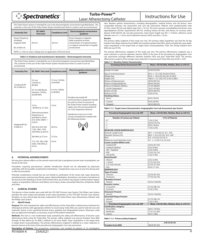# **Spectranetics®**

# **Turbo-Power™ Laser Atherectomy Catheter Instructions for Use**

The Turbo-Power System is intended for use in the electromagnetic environment specified below. The customer or the user of the Turbo-Power System should assure that it is used in such an environment.

| <b>Immunity Test</b>                                                       | <b>IEC 60601</b><br><b>Test Level</b> | <b>Compliance Level</b> | <b>Electromagnetic environment-</b><br>quidance                                                                                                        |
|----------------------------------------------------------------------------|---------------------------------------|-------------------------|--------------------------------------------------------------------------------------------------------------------------------------------------------|
| Power Frequency<br>(50/60Hz)<br>magnetic field<br>IEC 61000-4-8            | $30$ A/m                              | $30$ A/m                | Power frequency magnetic<br>fields should be at levels.<br>characteristic of a typical location<br>in a typical commercial or hospital<br>environment. |
| NOTE: $Ur$ is the ac mains voltage prior to application of the test level. |                                       |                         |                                                                                                                                                        |

#### **Table 5.3: Guidance and manufacturer's declaration – Electromagnetic Immunity**

The Turbo-Power System is intended for use in the electromagnetic environment specified below. The customer or the user of the Turbo-Power System should assure that it is used in such an environment.

| <b>Immunity Test</b>          | IEC 60601 Test Level Compliance Level                                                                                                                                                                                                   |                                                             | <b>Electromagnetic environment-</b><br>quidance                                                                                                                                                                                                                                                  |
|-------------------------------|-----------------------------------------------------------------------------------------------------------------------------------------------------------------------------------------------------------------------------------------|-------------------------------------------------------------|--------------------------------------------------------------------------------------------------------------------------------------------------------------------------------------------------------------------------------------------------------------------------------------------------|
| Conducted RF<br>IEC 61000-4-6 | 3 V rms<br>150 kHz to<br>80 MHz<br>6 V rms ISM Bands<br>between 150 kHz<br>and 80 MHz                                                                                                                                                   | 3 V rms 150 kHz<br>to 80 MHz<br>6 V rms 150kHz<br>to 80 MHz | Portable and mobile RF                                                                                                                                                                                                                                                                           |
| Radiated RF IEC<br>61000-4-3  | 3 V/m<br>80 MHZ to 2.7 GHz<br>Telecommunication<br>frequencies as<br>specified in clause<br>8.10 of IEC 60601-1-<br>2:2014:<br>450.810.870.930.<br>1720. 1845. 1970.<br>2450 MHz at 28 V/m<br>385 MHz at 27 V/m<br>710, 745, 780, 5240, | 3 V/m<br>28 V/m<br>27 V/m<br>9 V/m                          | communications equipment should<br>be used no closer to any part of<br>the Turbo-Power System including<br>cables, than the recommended 30<br>cm (12in) separation distance.<br>Interference may occur in the<br>vicinity of equipment marked with<br>the following symbol.<br>$((\binom{n}{k})$ |
|                               | 5500, 5785 MHz at<br>9 V/m                                                                                                                                                                                                              |                                                             |                                                                                                                                                                                                                                                                                                  |

#### **6. POTENTIAL ADVERSE EVENTS**

No long-term adverse effects on the arterial vessel wall, due to peripheral excimer laser recanalization, are known at this time.

Procedures requiring percutaneous catheter introduction should not be attempted by physicians unfamiliar with the possible complications listed below. Complications may occur at any time during and/ or after the procedure.

Potential complications include but are not limited to: perforation of the vessel wall, major dissection, pseudoaneurysm, arteriovenous fistula, spasm, distal embolization, thrombosis, reocclusion, hematoma at the puncture site, bleeding or Acute Limb Ischemia (ALI), any of which may require a reintervention, bypass surgery or amputation; infection, renal failure, nerve injury, stroke, myocardial infarction, arrhythmia, death and other.

#### **7. CLINICAL STUDIES**

The devices in these studies were used with the CVX-300® Excimer Laser System. The Philips Laser System provides the same output and operates at the same parameters as the CVX-300® Excimer Laser System; therefore, no new clinical data has been collected for the Turbo-Power Laser Atherectomy Catheter with the Philips Laser System.

#### **7.1 ABLATE Study**

**Purpose:** This trial evaluated the safety and effectiveness of the Turbo-Elite in atherectomy treatment for infrainguinal arteries with appropriate catheter to vessel sizing. Turbo-Elite was used to treat de novo and restenotic lesions in the superficial femoral artery, popliteal and infrapopliteal arteries. Physicians could also use adjunctive therapies, as necessary, as part of the patient treatments.

**Methods:** This trial is a non-randomized study evaluating the safety and effectiveness of Excimer Laser Atherectomy (ELA) using the Turbo-Elite. The primary safety endpoint was percent freedom from MAE through 30 day follow-up. An MAE is defined as all cause death, major amputation in the target limb, or target lesion revascularization. The primary effectiveness endpoint is defined as a mean reduction in percent stenosis at the time of the procedure by Angiographic Core Lab assessment.

**Description of Patients:** This prospective, multicenter, trial enrolled 44 patients at 10 investigative

sites. Baseline patient characteristics, including demographics, medical history, and risk factors, were comparable between site assessment and core lab assessment. Patients were predominantly male (53.5%), white (95.3%) and elderly (age: 69.3  $\pm$  10.7yr). The most common comorbidities/risk factors were hyperlipidemia (93.0%), hypertension (90.7%), smoking history (81.4%), and history of coronary artery disease (CAD) (60.5%). By core lab assessment, mean lesion length was 94.7 ± 73.0mm, reference vessel diameter was  $4.7 \pm 1.2$ mm, and % diameter stenosis (%DS) was  $80.0 \pm 16.5$ %.

#### **Results:**

The primary safety endpoint of this study was met. The primary safety hypothesis was that the 30 day freedom from Major Adverse Event (MAE) rate would be greater than 80%, which included all-cause death, major amputation in the target limb, or target lesion revascularization (TLR). The 30-day freedom from MAE rate was 97.4%.

The primary effectiveness endpoint of this study was met. The primary effectiveness endpoint was a mean reduction in percent diameter stenosis (%DS) at the time of the procedure by Angiographic Core Lab assessment (average difference between baseline %DS and post Turbo-Elite %DS). The primary effectiveness analysis of the average mean reduction in stenosis post Turbo-Elite was 45.0% ± 2.4%.

#### **Table 7.1.1 Baseline Patient Characteristics**

| <b>Screening Clinical Assessment CRF</b> | Mean $\pm$ SD (N) (Min, Median, Max) or n/N (%) |  |
|------------------------------------------|-------------------------------------------------|--|
|                                          |                                                 |  |
| Gender (% male)                          | 23/43 (53.5%)                                   |  |
| Age at Screening (years)                 | 69.3 +/- 10.7 (43) (53.0,67.0,93.0)             |  |
| Weight (kg)                              | 82.8 +/- 20.6 (43) (45.5,81.8,140.0)            |  |
| Height (cm)                              | 168.0 +/- 9.1 (43) (147.3,167.6,188.0           |  |
| History of Hypertension                  | 39/43 (90.7%)                                   |  |
| History of Hyperlipidemia                | 40/43 (93.0%)                                   |  |
| History of Diabetes Mellitus             | 21/43 (48.8%)                                   |  |
| -- Insulin Dependent                     | 10/21 (47.6%)                                   |  |
| History of CAD                           | 26/43 (60.5%)                                   |  |
| History of CVA                           | 2/43 (4.7%)                                     |  |
| <b>Smoking Status:</b>                   |                                                 |  |
| -- Never                                 | 8/43 (18.6%)                                    |  |
| -- Current                               | 9/43 (20.9%)                                    |  |
| -- Stopped                               | 26/43 (60.5%)                                   |  |

#### **Table 7.1.2 Target Lesion Characteristics: Angiographic Core Lab Assessment (per lesion)**

| Procedural Angiographic Core Lab CRF | Mean ± SD (N) (Min, Median, Max) or n/N (%) |  |
|--------------------------------------|---------------------------------------------|--|
| <b>Number of Lesions per Patient</b> | # (%) of Patients                           |  |
| $-0*$                                | $1/43$ (2.3%)                               |  |
| $-1$                                 | 33/43 (76.7%)                               |  |
| $-2$                                 | 8/43 (18.6%)                                |  |
| $-3$                                 | $1/43(2.3\%)$                               |  |
| <b>BASELINE LESION MORPHOLOGY</b>    |                                             |  |
| Stenosis Length (mm)                 | $94.7 \pm 73.0$ (45) (9, 76.1, 270)         |  |
| Diameter Stenosis (%)                | $80.0 \pm 16.5$ (52) (50, 78.3, 100)        |  |
| <b>MLD</b>                           | $0.9 \pm 0.8$ (52) (0, 0.8, 3)              |  |
| Reference vessel diameter (mm)       | $4.7 \pm 1.2$ (52) (1.6, 5.0, 6.6)          |  |
| <b>Lesion Location Within Limb</b>   |                                             |  |
| -- Isolated SFA                      | 32/52 (61.5%)                               |  |
| -- Isolated Popliteal                | 5/52 (9.6%)                                 |  |
| -- SFA - Popliteal                   | 2/52 (3.8%)                                 |  |
| $-$ BTK                              | 12/52 (23.1%)                               |  |
| $-$ ATK & BTK                        | 1/52 (1.9%)                                 |  |
| <b>Distal Runoff:</b>                |                                             |  |
| -- Absent                            | 2/52 (3.8%)                                 |  |
| -- 1 Vessel                          | 17/52 (32.7%)                               |  |
| -- 2 or more Vessels                 | 27/52 (51.9%)                               |  |
| $-N/A$                               | 6/52 (11.5%)                                |  |
| <b>MORPHOLOGY</b>                    |                                             |  |
| <b>Type of Lesion:</b>               |                                             |  |
| -- Stenosis                          | 35/52 (67.3%)                               |  |
| -- Occlusion                         | 17/52 (32.7%)                               |  |
| <b>Thrombus Present</b>              |                                             |  |
| -- Absent                            | 52/52 (100.0%)                              |  |
| <b>Eccentric Lesion:</b>             |                                             |  |
| -- Concentric                        | 51/52 (98.1%)                               |  |
| -- Eccentric                         | 1/52 (1.9%)                                 |  |
| <b>Aneurysm Present:</b>             |                                             |  |
| -- Absent                            | 52/52 (100.0%)                              |  |
| <b>Ulcerated Plaque Present:</b>     |                                             |  |
| -- Absent                            | 51/52 (98.1%)                               |  |
| -- Present                           | 1/52 (1.9%)                                 |  |
| Procedural Angiographic Core Lab CRF | Mean ± SD (N) (Min, Median, Max) or n/N (%) |  |
| <b>Calcification category:</b>       |                                             |  |
| -- None/Mild                         | 36/51 (70.6%)                               |  |
| -- Moderate                          | 11/51 (21.6%)                               |  |
| -- Severe                            | 4/51 (7.8%)                                 |  |

#### **Table 7.1.3 Primary Safety Endpoint**

| $n/N$ (%) N=43 |
|----------------|
|                |
|                |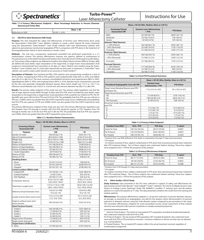# **Spectranetics®**

# **Turbo-Power™ Laser Atherectomy Catheter Instructions for Use**

**Table 7.1.4 Primary Effectiveness Endpoint – Mean Percentage Reduction in Percent Diameter Stenosis post Turbo-Elite**

|                  | $\pm$ SE |
|------------------|----------|
| Reduction in %DS | 4%       |

### **7.2 EXCiTE In-Stent Restenosis (ISR) Study**

Purpose: This trial evaluated the safety and effectiveness of Excimer Laser Atherectomy (ELA) using the Spectranetics Turbo-Elite™ Laser Ablation Catheter to create a pilot channel for lesion treatment using the Spectranetics Turbo-Tandem™ Laser Guide Catheter with Laser Atherectomy Catheter with adjunctive percutaneous transluminal angioplasty (PTA) in comparison with PTA alone in the treatment of femoropopliteal bare nitinol in-stent restenosis in vessels ≥5mm.

**Methods:** This trial was a prospective randomized controlled trial performed respectively in a 2:1 randomization scheme. The primary effectiveness measure was patency, defined as achievement of Procedural Success in the Index Procedure and Freedom from Clinically Driven TLR through 6 months followup. The primary safety endpoint was defined as Freedom from Major Adverse Events (MAE) at 30 days. MAE are defined all-cause death, major amputation in the target limb, or target lesion revascularization (TLR) (surgical or interventional) from procedure to 30 days (±7 days). Patients were treated using the Turbo-Tandem™ Laser Catheter and, if a 2mm pilot channel did not exist prior to treatment, a Turbo-Elite™ laser catheter was used to create a pilot channel as an accessory to Turbo-Tandem™.

**Description of Patients:** Two hundred and fifty (250) patients were prospectively enrolled at a total of 40 US centers. Comparing ELA+PTA to PTA, patients were predominantly male (63% vs. 62%), and elderly (age: 69±10 vs. 68±10 yr.). The most common comorbidities/risk factors were hypertension (96% vs. 94%), hyperlipidemia (96% vs. 95%), and smoking history (85% vs. 91%). Baseline lesion characteristics assessed by the sites were generally comparable between groups. Mean lesion length was 17±12 vs. 16±11 cm, reference vessel diameter was 5.6±0.5 vs. 5.6±0.6 mm, and stenosis diameter was 88±13 vs. 88±14%

**Results:** The primary safety endpoint of this study was met. The primary safety hypothesis was that the rate of major adverse events (MAE) through 30 days with ELA+PTA, which included all-cause death, major amputation in the target limb, or target lesion revascularization (TLR), would be non-inferior to PTA. The 30 day MAE rates were 5.8% for ELA+PTA and 20.5% for PTA. The probability that ELA+PTA was non-inferior to PTA was >0.9999, which was greater than the 0.9975 required for early success. Additionally, the probability that ELA+PTA was superior to PTA was 0.9999, which was also greater than the 0.9975 required for early success.

The primary effectiveness endpoint of this study was also met. The primary effectiveness hypothesis was that freedom from TLR through 6 months with ELA+PTA would be superior to PTA. Freedom from TLR through 6 months was 73.5% for ELA+PTA and 51.8% for PTA. The probability that ELA+PTA was superior was 0.9994, which was greater than the 0.9975 required for early success.

| Mean ± SD (N) (Min, Median, Max) or n/N (%)        |                                                   |                                                 |  |
|----------------------------------------------------|---------------------------------------------------|-------------------------------------------------|--|
| <b>Screening Clinical</b><br><b>Assessment CRF</b> | <b>Excimer Laser Atherectomy</b><br>$+$ PTA       | <b>PTA Alone</b>                                |  |
| <b>Patients</b>                                    | 169                                               | 81                                              |  |
| Gender (% male)                                    | 106/169 (62.7%)                                   | 50/81 (61.7%)                                   |  |
| Age at Screening (years)                           | $68.5 \pm 9.8$ (n=169)                            | $67.8 \pm 10.3$ (n=81)                          |  |
| Weight (kg)                                        | $82.2 \pm 18.9$ (n=168)                           | $80.4 \pm 16.4$ (n=80)                          |  |
| Height (cm)                                        | $170.0 \pm 10.4$ (n=168)                          | 168.7±9.7 (n=80)                                |  |
| History of Hypertension                            | 161/168 (95.8 %)                                  | 75/80 (93.8 %)                                  |  |
| History of Hyperlipidemia                          | 162/168 (96.4 %)                                  | 76/80 (95.0 %)                                  |  |
| <b>History of Diabetes Mellitus</b>                | 79/168 (47.0 %)                                   | 38/80 (47.5 %)                                  |  |
| -- Insulin Dependent                               | 34/79 (43.0 %)                                    | 17/38 (44.7 %)                                  |  |
| History of CAD                                     | 108/168 (64.3 %)                                  | 55/80 (68.8 %)                                  |  |
| History of CVA                                     | 18/168 (10.7 %)                                   | 5/80 (6.3 %)                                    |  |
| <b>Smoking Status:</b>                             |                                                   |                                                 |  |
| -- Never                                           | 25/167 (15.0 %)                                   | 7/80 (8.8 %)                                    |  |
| -- Current                                         | 50/167 (29.9 %)                                   | 36/80 (45.0 %)                                  |  |
| -- Stopped                                         | 92/167 (55.1 %)                                   | 37/80 (46.3 %)                                  |  |
| <b>Lesion Location: Within Limb:</b>               |                                                   |                                                 |  |
| -- Isolated SFA                                    | 137/169 (81.1 %)                                  | 72/81 (88.9 %)                                  |  |
| -- Isolated Popliteal                              | 3/169 (1.8 %)                                     | 4/81 (4.9 %)                                    |  |
| - SFA-Popliteal                                    | 29/169 (17.2 %)                                   | 5/81(6.2%)                                      |  |
|                                                    | $87.6 \pm 12.6$ (n=168)                           | $87.8 \pm 13.7$ (n=81)                          |  |
| % Diameter Stenosis                                | (50.0, 90.0, 100.0)                               | (50.0, 90.0, 100.0)                             |  |
| Total lesion Length (mm)                           | $173.4 \pm 117.8$ (n=169)<br>(30.0, 140.0, 550.0) | $163.6 \pm 106.7$ (n=81)<br>(5.0, 140.0, 430.0) |  |
| Reference Vessel Diameter (mm)                     | $5.6 \pm 0.5$ (n=168)<br>(5.0, 6.0, 7.0)          | $5.6 \pm 0.6$ (n=80)<br>(5.0, 5.8, 7.0)         |  |
| Length of Extra Stent Lesion (mm)                  | $15.5 \pm 12.3$ (n=60)                            | $20.1 \pm 14.6$ (n=26)                          |  |
| Subjects without extra stent                       | (1.0, 10.0, 70.0)<br>109/169 (64.5 %)             | (2.5, 20.0, 64.0)<br>55/81 (67.9 %)             |  |
| lesion present                                     |                                                   |                                                 |  |
| <b>Stent Fracture Present:</b>                     |                                                   |                                                 |  |
| -- Grade 0                                         | 146/169 (86.4 %)                                  | 72/81 (88.9 %)                                  |  |
| -- Grade 1                                         | 11/169 (6.5 %)                                    | 5/81 (6.2 %)                                    |  |
| -- Grade 2                                         | 6/169(3.6%)                                       | 3/81 (3.7 %)                                    |  |
| -- Grade 3                                         | 6/169(3.6%)                                       | $1/81(1.2\%)$                                   |  |
| <b>Target Lesion Thrombus</b>                      | 11/169 (6.5 %)                                    | 4/81 (4.9 %)                                    |  |
| <b>Target Lesion Aneurysm</b>                      | 0/169 (0.0 %)                                     | $0/81(0.0\%)$                                   |  |
| <b>Target lesion Calcification:</b>                |                                                   |                                                 |  |
| - None                                             | 72/169 (42.6 %)                                   | 41/81 (50.6 %)                                  |  |

| Mean $\pm$ SD (N) (Min, Median, Max) or n/N (%)    |                                             |                  |  |  |
|----------------------------------------------------|---------------------------------------------|------------------|--|--|
| <b>Screening Clinical</b><br><b>Assessment CRF</b> | <b>Excimer Laser Atherectomy</b><br>$+$ PTA | <b>PTA Alone</b> |  |  |
| -- Mild                                            | 62/169 (36.7 %)                             | 26/81 (32.1 %)   |  |  |
| -- Moderate                                        | 25/169 (14.8 %)                             | 7/81 (8.6 %)     |  |  |
| - Severe                                           | 10/169 (5.9 %)                              | 7/81 (8.6 %)     |  |  |
| <b>Anterior Tibial Stenosis:</b>                   |                                             |                  |  |  |
| -- <= 50% (Patent)                                 | 102/168 (60.7 %)                            | 56/81 (69.1 %)   |  |  |
| -- >50% (Stenosed)                                 | 25/168 (14.9 %)                             | 11/81 (13.6 %)   |  |  |
| -- Occluded                                        | 41/168 (24.4 %)                             | 14/81 (17.3 %)   |  |  |
| <b>Posterior Tibial Stenosis:</b>                  |                                             |                  |  |  |
| -- <= 50% (Patent)                                 | 100/168 (59.5 %)                            | 54/81 (66.7 %)   |  |  |
| -- >50% (Stenosed)                                 | 21/168 (12.5 %)                             | 10/81 (12.3 %)   |  |  |
| -- Occluded                                        | 47/168 (28.0 %)                             | 17/81 (21.0 %)   |  |  |
| <b>Peroneal Stenosis:</b>                          |                                             |                  |  |  |
| -- <= 50% (Patent)                                 | 117/168 (69.6 %)                            | 62/81 (76.5 %)   |  |  |
| -- >50% (Stenosed)                                 | 21/168 (12.5 %)                             | 8/81 (9.9 %)     |  |  |
| -- Occluded                                        | 30/168 (17.9 %)                             | 11/81 (13.6 %)   |  |  |

#### **Table 7.2.2 Post PTA Procedural Outcomes**

|                                                           | Mean $\pm$ SD (N) (Min, Median, Max) or n/N (%)  |                        |  |
|-----------------------------------------------------------|--------------------------------------------------|------------------------|--|
| Procedural Angiographic Core Lab CRF                      | <b>Excimer Laser</b><br><b>Atherectomy + PTA</b> | <b>PTA Alone</b>       |  |
| Target Lesion Residual Stenosis post PTA<br>procedure (%) | $11.5 \pm 13.5$ (n=165)                          | $18.1 \pm 18.2$ (n=81) |  |
| Target Vessel Dissection post PTA:                        |                                                  |                        |  |
| -- Yes                                                    | 15/169 (8.9 %)                                   | 15/81 (18.5 %)         |  |
| -- No                                                     | 148/169 (87.6 %)                                 | 66/81 (81.5 %)         |  |
| -- Not Assessed                                           | 6/169(3.6%)                                      | $0/81(0.0\%)$          |  |
| Dissection Grade Upon Visual Assessment<br>post PTA:      |                                                  |                        |  |
| -- A                                                      | 7/15 (46.7 %)                                    | $9/15(60.0\%)$         |  |
| l-- B                                                     | 7/15 (46.7 %)                                    | $0/15(0.0\%)$          |  |
| l-- C                                                     | 1/15(6.7%)                                       | 4/15 (26.7 %)          |  |
| l-- D                                                     | $0/15(0.0\%)$                                    | 1/15(6.7%)             |  |
| l-- F                                                     | $0/15(0.0\%)$                                    | 1/15(6.7%)             |  |

### **Table 7.2.3 Primary Safety Endpoint1**

| Freedom from MAE <sup>a</sup> | $ELA + PTA$     | <b>PTA Only</b> | P-value <sup>b</sup> |
|-------------------------------|-----------------|-----------------|----------------------|
| Intent-To-Treat               | 146/155 (94.2%) | 58/73 (79.5%)   | 0.0007               |
| Per Protocol                  | 123/130 (94.6%) | 50/61 (82.0%)   | 0.0053               |
| As Treated <sup>c</sup>       | 148/159 (93.1%) | 58/69 (84.1%)   | 0.0340               |

a Freedom from any MAE defined as TLR, death or amputation through 37 days post procedure <sup>b</sup> Chi-square

c As treated consisted of four subjects randomized to PTA alone that received provisional laser treatment after PTA treatment failure. Two of these subjects also underwent bailout stenting. These four subjects were assigned to ELA + PTA for the purposes of this analysis.

#### **Table 7.2.4 Primary Effectiveness Endpoint**

| Freedom from TLR <sup>a</sup> | $ELA + PTA$    | <b>PTA Only</b> | P-value <sup>b</sup> |
|-------------------------------|----------------|-----------------|----------------------|
| I Intent-To-Treat             | 86/117 (73.5%) | 29/56 (51.8%)   | 0.0046               |
| Per Protocol                  | 78/100 (78.0%) | 21/45 (46.7%)   | 0.0002               |
| As Treated <sup>c</sup>       | 88/121 (72.7%) | 29/52 (55.8%)   | 0.0288               |

<sup>a</sup> Freedom from TLR through 212 days post procedure

<sup>b</sup> Chi-square

c As treated consisted of four subjects randomized to PTA alone that received provisional laser treatment after PTA treatment failure. Two of these subjects also underwent bailout stenting. These four subjects were assigned to ELA + PTA for the purposes of this analysis.

#### **7.3 Other Studies: CELLO Study**

**Study Summary:** Data presented in this IFU were collected in support of safety and effectiveness for Spectranetics brand Turbo-Booster™ and CLiRpath™ Turbo™ catheters. The CELLO (CLiRpath Excimer Laser System to Enlarge Lumen Openings) Study, IDE #G060015, enrolled 17 training cases and 48 analysis patients or a total of 65 patients at 17 sites. The data presented combines the results from the training and analysis patients.

**Effectiveness:** The primary effectiveness endpoint (≥ 20 percent reduction in percent diameter stenosis, on average, as assessed by an angiographic core lab) for the analysis cohort demonstrated a 35 percent reduction in diameter stenosis using the Turbo-Booster system compared to pre-procedure in the study. The secondary effectiveness endpoint for acute procedural success (visual assessment of final residual stenosis) was achieved in 98.5 percent of patients as visually assessed by physician.

<sup>1</sup> Intent to Treat Analysis: The intent-to-treat patient (ITT) population included all randomized patients who underwent treatment with ELA-PTA or PTA

Per Protocol Analysis: The per-protocol (PP) population (AT) included all patients who underwent treatment with ELA-PTA or PTA and had no inclusion / exclusion violations or device use that was not allowed (e.g. scoring balloon).

As Treated Analysis: The as treated (AT) analysis reflects the actual treatment received, regardless of randomization assignment.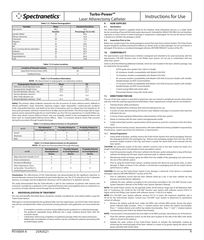

# **Turbo-Power™**

**Table 7.3.1 Patient Demographics**

| <b>Variable</b>                  | <b>Mean</b>   | <b>Standard Deviation</b> |
|----------------------------------|---------------|---------------------------|
| Age (years)                      | 68.3          | 10.1                      |
|                                  | <b>Number</b> | Percentage (%) (n=65)     |
| Gender (Male)                    | 39            | 60.0                      |
| African-American                 | 11            | 16.9                      |
| Caucasian                        | 49            | 75.4                      |
| Hispanic                         | 5             | 7.7                       |
| CAD                              | 42            | 64.6                      |
| MI                               | 16            | 37.2                      |
| Prior Coronary Revascularization | 26            | 60.5                      |
| <b>Diabetes</b>                  | 26            | 40.0                      |
| Hypertension                     | 57            | 87.7                      |
| Hyperlipidemia                   | 55            | 84.6                      |
| <b>CVA</b>                       | 7             | 10.8                      |

#### **Table 7.3.2 Lesion Locations**

| <b>Location of Vascular Lesions</b> | Total $(n=65)$ |  |  |
|-------------------------------------|----------------|--|--|
| Superficial Femoral Artery (SFA)    | 60             |  |  |
| Popliteal Artery                    |                |  |  |

#### **Table 7.3.3 Procedure Information**

**NOTE:** All values based on angiographic core laboratory analysis

| Angiographic Results (n=65)       | <b>Mean</b> | <b>SD</b> |
|-----------------------------------|-------------|-----------|
| Reference vessel diameter (mm)    | 4.9         | 0.8       |
| Average lesion length (mm)        | 56.0        | 47.2      |
| Percent diameter stenosis - Pre   | 77.1        | 15.7      |
| Percent diameter stenosis -       | 42.5        | 13.2      |
| After Turbo-Booster use           |             |           |
| Percent diameter stenosis - Final | 21.1        | 14.5      |

**Safety:** The primary safety endpoint measured was the occurrence of major adverse events, defined as clinical perforation, major dissection requiring surgery, major amputation, cerebrovascular accidents (CVA), myocardial infarction, and death at the time of procedure, prior to release from the hospital (or 24 hours post-procedure, whichever comes first) at 30 days, and six (6) months. The CELLO study had no major adverse events reported through the six month follow-up. One CVA was reported at a 12 month follow-up. There were eleven Serious Adverse Events, only one probably related to the investigational device and there were no Unanticipated Adverse Device Effects. Table 7.2.5 presents adverse events that occurred during the procedure through hospital discharge.

#### **Table 7.3.4 Serious Adverse Events (n=65 patients)**

| $n=11$   | <b>Not Related to</b><br><b>Investigational Device</b> | <b>Possibly Related to</b><br><b>Investigational Device</b> | <b>Probably Related to</b><br><b>Investigational Device</b> |
|----------|--------------------------------------------------------|-------------------------------------------------------------|-------------------------------------------------------------|
| Severe   |                                                        |                                                             |                                                             |
| Moderate |                                                        |                                                             |                                                             |
| Mild     |                                                        |                                                             |                                                             |

**Table 7.3.5 Acute Adverse Events (n=65 patients)** 

**NOTE:** All values are from procedural through discharge

| $n=10$                                                                               | <b>Not Related to</b><br>Investigational<br><b>Device</b> | <b>Possibly Related</b><br>to Investigational<br><b>Device</b> | <b>Probably Related</b><br>to Investigational<br><b>Device</b> |
|--------------------------------------------------------------------------------------|-----------------------------------------------------------|----------------------------------------------------------------|----------------------------------------------------------------|
| Major dissection (Grade E or F)                                                      |                                                           |                                                                |                                                                |
| Distal embolization                                                                  |                                                           |                                                                |                                                                |
| Hematoma/Bleeding                                                                    |                                                           |                                                                |                                                                |
| Other (Hematuria, Sinus<br>tachycardia, Discomfort in<br>treated leg post-procedure) |                                                           |                                                                |                                                                |

**Conclusions:** The effectiveness of the Turbo-Booster was demonstrated by the significant reduction in percent diameter stenosis from baseline to post-Turbo-Booster use. The 35 % reduction in the % diameter stenosis, on average, met the endpoint for showing a ≥20 % reduction in % diameter stenosis.

The study demonstrated that the Turbo-Booster is safe for the treatment of patients with stenosis and occlusions crossable by a guidewire in the superficial femoral artery and popliteal artery as evident by no occurrence of major adverse events through the six-month follow-up.

#### **8. INDIVIDUALIZATION OF TREATMENT**

The risks and benefits described above should be carefully considered for each patient before using the Turbo-Power System.

Although it is recommended that the guidewire fully cross the target lesion, use of the Turbo-Power device may also be considered after initial conventional crossing attempts with guidewires are unsuccessful due to:

- A rounded or eccentric occlusion stump deflecting the guidewire to a subintimal passage. The guidewire repeatedly being deflected into a large collateral branch flush with the occlusion stump.
- Calcification obstructing completion of guidewire passage within the obstructed lumen.
- Additionally, recanalization of native arteries may be considered in patients presenting with occluded bypass grafts.

## **9. HOW SUPPLIED**

### **9.1 Sterilization**

The Turbo-Power System is supplied sterile by the ethylene oxide sterilization process in a single sterile barrier consisting of tray and lid inside a peel-open pouch. Intended for SINGLE USE ONLY; do not resterilize, reprocess, or reuse. Device is sterile if package is unopened or undamaged. Do not use the device if there is doubt as to whether the package is sterile.

#### **9.2 Inspection Prior to Use**

Before use, visually inspect the sterile package to ensure that seals have not been broken. The Turbo-Power System should be carefully examined for defects (i.e. bends, kinks or other damage). Do not use if device is damaged. If the device is considered damaged; reference RETURN PRODUCT section of this IFU.

#### **10. COMPATIBILITY**

The Spectranetics Laser Atherectomy Catheter is designed and intended to be used exclusively with the Spectranetics CVX-300® Excimer Laser or the Philips Laser System. Do not use in combination with any other laser system.

Some or all of the following additional materials, which are not included in the laser catheter package, may be required for the procedure

- 0.018" guide wires greater than 220cm in length
- 6F introducer sheaths (compatibility with Model # 420-050)
- 7F introducer sheaths (compatibility with Model # 423-050)
- 6F crossover sheaths (compatibility with Model # 420-050) (Crossover sheaths with metallic banded designs are NOT recommended.)
- 7F crossover sheaths (compatibility with Model # 423-050) (Crossover sheaths with metallic banded designs are NOT recommended.)
- Control syringe filled with sterile saline
- Pressurized infusion setup with sterile saline

### **11. DIRECTIONS FOR USE**

The use of the laser system is restricted to physicians who are trained in peripheral vascular Intervention and who meet the training requirements listed below. These requirements include, but are not limited to:

- 1. Training of laser safety and physics.
- 2. Review of patient films of lesions that meet the Indications for use.
- 3. A review of cases demonstrating the Excimer Laser Ablation technique in occlusions that meet the indications for use.
- 4. A review of laser operation followed by a demonstration of the laser system.
- 5. Hands on training with the laser system and appropriate model.
- 6. A fully trained Spectranetics representative will be present to assist for a minimum of the first three cases.

Following the formal training session, Spectranetics will make additional training available if requested by the physician, support personnel, the institution, or Spectranetics.

#### **11.1 Device Preparation**

1. Using sterile technique, carefully remove the Turbo-Power System from sterile packaging. Remove the packaging lid from the packaging tray. Remove the packaging wedges from the tray. Lift the proximal coupler located in the tray, and hand it outside the sterile field to be inserted into the laser system.

**CAUTION:** The proximal coupler of the laser catheter connects only to the laser system by means of a length of tail tubing, and is not intended to have any patient contact.

- 2. Insert the proximal coupler of the laser catheter into the laser system and position a loop of the laser catheter tail tubing into the laser system extension pole or catheter retainer.
- 3. Maintaining sterile technique, grasp the MDU from the middle of the packaging tray and remove the rest of the catheter system.
- 4. Prior to using the Turbo-Power System, carefully examine the device for any bends, kinks, or other damage. A slight curvature in the catheter is normal due to packaging and will not impact device performance or safety.

**CAUTION:** Do not use the Turbo-Power System if any damage is observed. If the device is considered damaged; reference RETURN PRODUCT section of this IFU.

- 5. Prior to calibration, ensure that the laser catheter distal tip is dry. A wet laser catheter tip may prevent successful device calibration.
- 6. Calibrate the laser catheter according to the instructions provided in the CVX-300® Excimer Laser System Operator's Manual or the Philips Laser System Operator's Manual.

**NOTE:** The Turbo-Power System can be operated within 30-60 Fluence range and 25-80 Repetition Rate (Hz) in "Continuous On" mode for the CVX-300® Excimer Laser System with software version V3.812 or higher and for the Philips Laser System with software version 1.0 (b5.0.3) or higher.

**NOTE:** For CVX-300® Laser System software versions V3.712 or lower, the maximum repetition rate is 40 Hz for the Turbo-Power System. Consult your CVX-300® Laser System to determine its operational version of software.

7. Remove the battery pull-tab from under the MDU and activate MDU power. Ensure the green power indicator light activates. Press "<" rotation button and confirm tip rotation functionality. Press ">" rotation button and confirm tip rotation functionality. Press "<" and ">" rotation buttons simultaneously and confirm tip rotation functionality.

**NOTE:** If at any point in the procedure the error light on the MDU activates, discontinue use of the device.

- 8. Flush the catheter guidewire lumen via the flush port located on the side of the MDU with sterile saline to ensure lumen patency.
- 9. Hydrate the outer surface of the Turbo-Power System to activate the hydrophilic coating by immersing the working length of the laser catheter in a basin or by gently wiping the device with gauze saturated with sterile saline.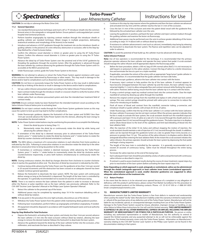

# **Turbo-Power™ Laser Atherectomy Catheter Instructions for Use**

**CAUTION:** Do not dip or submerge the Motor Drive Unit.

#### **11.2 General Operation**

- Use standard femoral puncture technique and insert a 6F or 7F introducer sheath into the common femoral artery in the antegrade or retrograde fashion. Ensure patient is anticoagulated per current hospital interventional protocols.
- 2. Perform baseline angiography by injecting contrast medium through the introducer sheath or guiding catheter per standard technique. Obtain images in multiple projections, delineating anatomical variations and morphology of the lesion(s) to be treated.
- 3. Introduce and advance a 0.018" guidewire through the treatment site via the introducer sheath or guiding catheter. In the presence of a wire refractory obstruction or occlusion, refer to the Step-by-Step Method for a Total Occlusion below.
- 4. Confirm the reference vessel diameter is 3.0mm or greater prior to using the 6F Turbo-Power System. Confirm the reference vessel diameter is 3.5mm or greater prior to using the 7F Turbo-Power System.
- 5. Advance the distal tip of Turbo-Power System over the proximal end of the 0.018" guidewire by threading the guidewire through the eccentric lumen. After the guidewire is advanced through the laser catheter tip, continue advancing the guidewire through the Turbo-Power System until it is accessible at the MDU's proximal end.
- 6. Under fluoroscopic control, guide the Turbo-Power System to the lesion.

**WARNING:** Do not attempt to advance or retract the Turbo-Power System against resistance until cause of the resistance has been determined by fluoroscopy or other means. This may result in damage to the device and/or lead to complications such as dissections and/or perforations.

**CAUTION:** Do not force or excessively torque the Turbo-Power System as this may result in deformation of the distal tip or kinking of the device or result in damage to the device and/or lead to complications.

- 7. Set up a saline infusion pressurized system according to the Saline Infusion Protocol below.
- 8. Inject contrast media through the introducer sheath or crossover sheath to verify the location of the laser catheter under fluoroscopy.
- 9. Initiate saline flush via infusion pressurized system and clear the intended laser treatment field of contrast media.

**CAUTION:** Ensure contrast media has been flushed from the intended treatment vessel according to the Saline Infusion Protocol below prior to activating laser.

**WARNING:** Do not inject contrast media through the Turbo-Power System guidewire lumen as this may cause the system to lock-up and may lead to further complications.

10. Under fluoroscopic guidance, depress the footswitch of the laser system and SLOWLY (less than 1mm per second) advance the Turbo-Power System into the stenosis, allowing the laser energy to photoablate the desired material.

**NOTE:** Turbo-Power System rotate buttons may be used during the procedure to accomplish the following:

- a. Orient the distal tip prior to lasing (Step 11)
- b. Momentarily rotate the distal tip or continuously rotate the distal tip while lasing and advancing the catheter (Step 12)
- 11. If orientation of the distal tip is deemed necessary prior to advancement of the Turbo-Power System, press ">" rotate button to rotate the distal tip clockwise and "<" rotate button to rotate the distal tip counter-clockwise until desired orientation is achieved.

**NOTE:** The MDU allows a maximum of 6 consecutive rotations in each direction from home position as indicated by the LEDs. Following 6 consecutive rotations in one direction rotate the distal tip in the other direction 6 consecutive times to bring tip position to the center.

12. If momentary or continuous rotation is deemed necessary while advancing the Turbo-Power System, press ">" and/or "<" rotate button to momentarily rotate the distal tip clockwise and/or counterclockwise respectively, or press both buttons simultaneously to continuously rotate the distal tip.

**NOTE:** During continuous rotation, the distal tip changes direction from clockwise to counter-clockwise when it reaches the guardrail at either end. The direction of distal tip movement is indicated by the LEDs.

- 13. Continue lasing while advancing the Turbo-Power over the guidewire at less than 1mm per second in 20 second increments until the obstruction has been crossed or an adequate channel has been created. Continue general operation.
- 14. Release the footswitch to deactivate the laser system. NOTE: The laser system will continuously deliver energy as long as the footswitch is depressed. The length of the laser train is controlled by the operator. It is generally recommended not to exceed 20 seconds of continuous lasing.

**NOTE:** There is no need to remove the laser catheter from the patient in order to increase or decrease either the fluence or pulse repetition rate as the laser catheter was previously calibrated. Refer to the CVX-300® Excimer Laser Operator's Manual or the Philips Laser System Operator's Manual.

- 15. Retract the catheter to the proximal cap of the lesion.
- 16. Additional passes may be completed by repeating steps 10-14 for maximum debulking with or without distal tip rotation.
- **NOTE:** If at any point in the procedure the error light activates, discontinue use of the device
- 17. Withdraw the Turbo-Power System from the patient while maintaining distal guidewire position.
- 18. Following laser recanalization, perform follow-up angiography and balloon angioplasty, if needed.
- 19. All equipment should be disposed in accordance with hospital biohazard waste and local authority regulations.

### **Step-by-Step Method for Total Occlusion**

- Depress the footswitch, activating the laser system, and slowly, less than 1mm per second, advance the laser catheter 2-3 mm into the total occlusion without distal tip rotation, allowing the laser energy to remove the desired material. Release the footswitch to deactivate the laser system.
- b. Advance the guidewire beyond the distal tip of the laser catheter further into the occlusion, a few millimeters, and reactivate the laser as described in Step a above.
- c. Continue in this step-by-step manner where the guidewire and then the laser catheter are advanced and activated (mm by mm) until the catheter reaches the last 3-5 mm of the occlusion.
- d. Cross the last 3-5 mm of the occlusion and enter the patent distal vessel with the guidewire first, followed by the activated laser catheter over-the-wire.
- e. Leaving the guidewire in position, pull back the laser catheter and inject contrast medium through the guiding catheter and examine the lesion via fluoroscopy.
- f. Additional laser passes may be performed over-the-wire to achieve greater debulking of the lesion according to steps 10-14 above with or without distal tip rotation.
- g. If resistance to catheter advancement is met (such as calcium), immediately stop lasing by releasing the footswitch to deactivate the laser system. The fluence and repetition rates can be adjusted in order to advance.

**CAUTION:** To avoid the potential of heat build-up, the catheter must be advanced while lasing. **Saline Infusion Protocol** 

**Note:** Use of two operators is recommended for this technique. It is recommended that the primary physician-operator advance the laser catheter and operate the laser system foot pedal. A scrub assistant should manage the saline infusion and (if appropriate) depress the fluoroscopy pedal.

- a. Before the laser procedure, obtain a 500 mL bag of 0.9% normal saline (NaCl). It is not necessary to add heparin or potassium to the saline solution. Connect the bag of saline to a sterile intravenous line and terminate the line at a port on a triple manifold.
- b. If applicable, cannulate the ostium of the artery with an appropriate "large lumen" guide catheter in the usual fashion. It is recommended that the guide catheter not have side holes.
- c. Under fluoroscopic guidance, advance the laser catheter into contact with the lesion.
- d. If necessary, inject contrast to help position the tip of the laser catheter. If contrast appears to have become entrapped between the laser catheter tip and the lesion, the laser catheter may be retracted slightly (1-2 mm) to allow antegrade flow and contrast removal while flushing the system with saline. However, before lasing, ensure that the laser catheter tip is in contact with the lesion.
- If using a control syringe, expel any residual contrast back into the contrast bottle. Clear the triple manifold of contrast by drawing up saline through the manifold.
- f. Remove the original control syringe from the manifold and replace it with a fresh luer-lock control syringe. This new control syringe should be primed with saline prior to connection to reduce the chance for introducing air bubbles.
- g. Flush all traces of blood and contrast from the manifold, connector tubing, y-connector, and introducer sheath or guide catheter, with at least 20-30 mL of saline.
- h. Under fluoroscopy, confirm that the tip of the laser catheter is in contact with the lesion (advance the laser catheter if necessary), but do not inject contrast. When the primary operator indicates that he/she is ready to activate the laser system, the scrub assistant should turn the manifold stopcock off to pressure and inject 10 mL of saline at a rate of 2-3 mL/second through the sheath and/or at a rate no greater than 0.5 mL/second through the guidewire lumen. This bolus injection is to displace and/or dilute blood down to the level of the capillaries and limit back-bleeding of blood into the laser ablation field.
- i. After the injection of the initial 10 mL bolus and without stopping the motion of injection, the scrub assistant should maintain a rate of injection of 2-3 mL/second through the sheath. In addition, saline can be injected through the guidewire lumen at a rate no greater than 0.5mL/second, or a pressure no greater than 131 psi. This portion of the saline infusion is to displace and/or dilute the antegrade blood flow entering the laser ablation field. At the instant the scrub assistant initiates this saline infusion, the primary operator should activate the laser system by depressing the foot pedal and begin a lasing sequence.
- The length of the laser train is controlled by the operator. It is generally recommended not to exceed 20 seconds of continuous lasing. Saline must be infused throughout the entire lasing process.
- k. Terminate the saline injection at the end of the lasing train.
- l. Each subsequent laser train should be preceded by a bolus of saline and performed with continuous saline infusion as described in steps h-k.
- m. If contrast is used to assess treatment results during the course of a laser treatment, repeat steps d-g prior to reactivation of the laser system (before activating the laser repeat steps h-k).

#### **Note: Depending on which approach is used, antegrade or contralateral, saline can be administered through the sheath (antegrade approach) or laser catheter inner lumen (contralateral approach). When the contralateral approach is used, smaller diameter guidewires are suggested to allow adequate saline infusion at the treatment site.**

#### **11.3 Return Product**

In the event that the device is to be returned once opened because of a complaint or any allegation of deficiency with the product's performance, please contact Post Market Surveillance for the procedure to return contaminated products at the following contacts: Phone: +31 33 43 47 050 or +1-888-341-0035 Email: complaints@spectranetics.com.

#### **12. MANUFACTURER'S LIMITED WARRANTY**

Manufacturer warrants that the Turbo-Power System is free from defects in material and workmanship when used by the stated "Use By" date. Manufacturer's liability under this warranty is limited to replacement or refund of the purchase price of any defective unit of the Turbo-Power System. Manufacturer will not be liable for any incidental, special, or consequential damages resulting from use of the Turbo-Power System. Damage to the Turbo-Power System caused by misuse, alteration, improper storage or handling, or any other failure to follow these Instructions for Use will void this limited warranty. **THIS LIMITED WARRANTY IS EXPRESSLY IN LIEU OF ALL OTHER WARRANTIES, EXPRESS OR IMPLIED, INCLUDING THE IMPLIED WARRANTY OF MERCHANTABILITY OR FITNESS FOR A PARTICULAR PURPOSE.** No person or entity, including any authorized representative or reseller of Manufacturer, has the authority to extend or expand this limited warranty and any purported attempt to do so will not be enforceable against the Manufacturer. This limited warranty covers only the Turbo-Power System. Information on Manufacturer's warranty relating to the CVX-300® Excimer Laser System or the Philips Laser System can be found in the documentation relating to that system.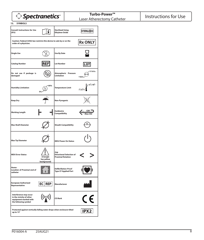

## **13. SYMBOLS**

| 15.<br><b>STIVIDULS</b>                                                                             |                                        |                                                                     |                                      |
|-----------------------------------------------------------------------------------------------------|----------------------------------------|---------------------------------------------------------------------|--------------------------------------|
| <b>Consult Instructions for Use</b><br>(IFU)                                                        | i                                      | <b>Sterilized Using</b><br>Ethylene Oxide                           | STERILEEO                            |
| Caution: Federal (USA) law restricts this device to sale by or on the<br>order of a physician.      |                                        |                                                                     | <b>Rx ONLY</b>                       |
| <b>Single Use</b>                                                                                   |                                        | <b>Use By Date</b>                                                  |                                      |
| <b>Catalog Number</b>                                                                               | <b>REF</b>                             | <b>Lot Number</b>                                                   | <b>LOT</b>                           |
| Do not use if package is<br>damaged                                                                 |                                        | Atmospheric Pressure<br>Limitation                                  | 111kPa<br>11kPa                      |
| <b>Humidity Limitation</b>                                                                          | 95%<br>5%                              | <b>Temperature Limit</b>                                            | 60°C/140°F<br>0°C/32°F               |
| <b>Keep Dry</b>                                                                                     |                                        | Non-Pyrogenic                                                       |                                      |
| <b>Working Length</b>                                                                               |                                        | Guidewire<br>Compatibility                                          | $\frac{1}{\sqrt{1 + \text{Max OD}}}$ |
| <b>Max Shaft Diameter</b>                                                                           |                                        | <b>Sheath Compatibility</b>                                         |                                      |
| <b>Max Tip Diameter</b>                                                                             |                                        | <b>MDU Power On Status</b>                                          |                                      |
| <b>MDU Error Status</b>                                                                             | (triangle<br>has yellow<br>background) | Jog-<br><b>Directional Selection of</b><br><b>Proximal Rotation</b> |                                      |
| Home-<br><b>Location of Proximal end of</b><br>catheter                                             | П                                      | <b>Defibrillation-Proof</b><br><b>Type CF Applied Part</b>          |                                      |
| <b>European Authorized</b><br>Representative                                                        | EC I<br><b>REP</b>                     | <b>Manufacturer</b>                                                 |                                      |
| Interference may occur<br>in the vicinity of other<br>equipment marked with<br>the following symbol | $((\cdot,))$                           | <b>CE Mark</b>                                                      | $C \in$                              |
| Protected against vertically falling water drops when enclosure tilted<br>up to 15°                 |                                        |                                                                     | <b>IPX2</b>                          |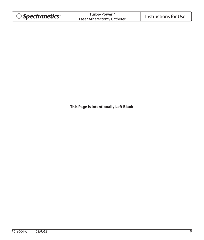| $\Diamond$ Spectranetics | Turbo-Power <sup>™</sup>   | Instructions for Use |
|--------------------------|----------------------------|----------------------|
|                          | Laser Atherectomy Catheter |                      |

**This Page is Intentionally Left Blank**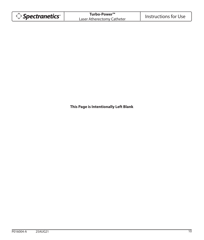| $\Diamond$ Spectranetics | Turbo-Power <sup>™</sup>   | Instructions for Use |
|--------------------------|----------------------------|----------------------|
|                          | Laser Atherectomy Catheter |                      |

**This Page is Intentionally Left Blank**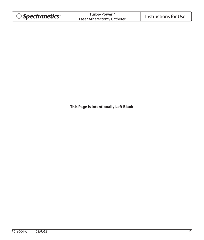| $\Diamond$ Spectranetics | Turbo-Power <sup>™</sup>   | Instructions for Use |
|--------------------------|----------------------------|----------------------|
|                          | Laser Atherectomy Catheter |                      |

**This Page is Intentionally Left Blank**